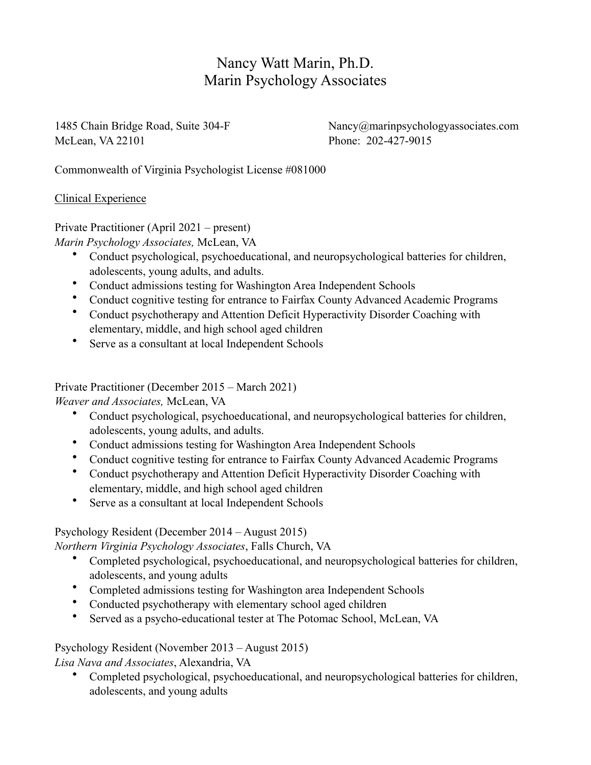# Nancy Watt Marin, Ph.D. Marin Psychology Associates

McLean, VA 22101 Phone: 202-427-9015

1485 Chain Bridge Road, Suite 304-F Nancy@marinpsychologyassociates.com

Commonwealth of Virginia Psychologist License #081000

#### Clinical Experience

Private Practitioner (April 2021 – present)

*Marin Psychology Associates,* McLean, VA

- Conduct psychological, psychoeducational, and neuropsychological batteries for children, adolescents, young adults, and adults.
- Conduct admissions testing for Washington Area Independent Schools
- Conduct cognitive testing for entrance to Fairfax County Advanced Academic Programs
- Conduct psychotherapy and Attention Deficit Hyperactivity Disorder Coaching with elementary, middle, and high school aged children
- Serve as a consultant at local Independent Schools

Private Practitioner (December 2015 – March 2021)

*Weaver and Associates,* McLean, VA

- Conduct psychological, psychoeducational, and neuropsychological batteries for children, adolescents, young adults, and adults.
- Conduct admissions testing for Washington Area Independent Schools
- Conduct cognitive testing for entrance to Fairfax County Advanced Academic Programs
- Conduct psychotherapy and Attention Deficit Hyperactivity Disorder Coaching with elementary, middle, and high school aged children
- Serve as a consultant at local Independent Schools

Psychology Resident (December 2014 – August 2015)

*Northern Virginia Psychology Associates*, Falls Church, VA

- Completed psychological, psychoeducational, and neuropsychological batteries for children, adolescents, and young adults
- Completed admissions testing for Washington area Independent Schools
- Conducted psychotherapy with elementary school aged children
- Served as a psycho-educational tester at The Potomac School, McLean, VA

Psychology Resident (November 2013 – August 2015)

*Lisa Nava and Associates*, Alexandria, VA

• Completed psychological, psychoeducational, and neuropsychological batteries for children, adolescents, and young adults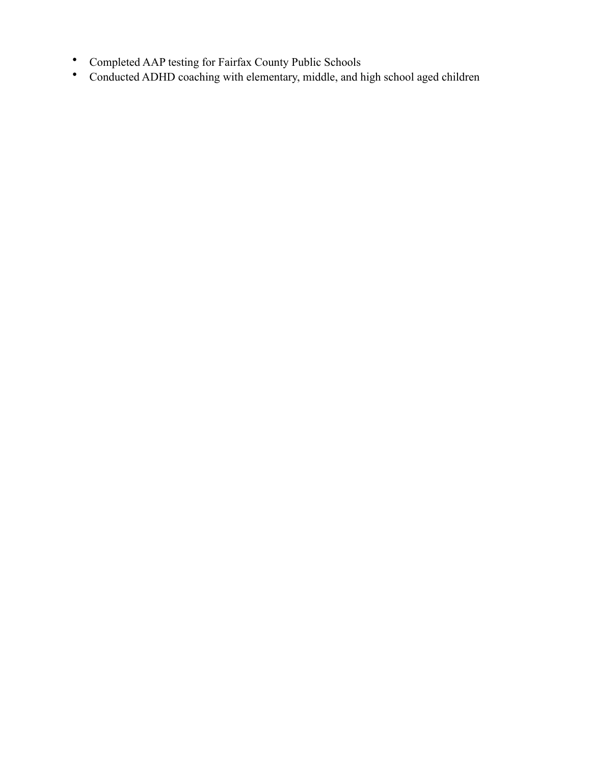- Completed AAP testing for Fairfax County Public Schools
- Conducted ADHD coaching with elementary, middle, and high school aged children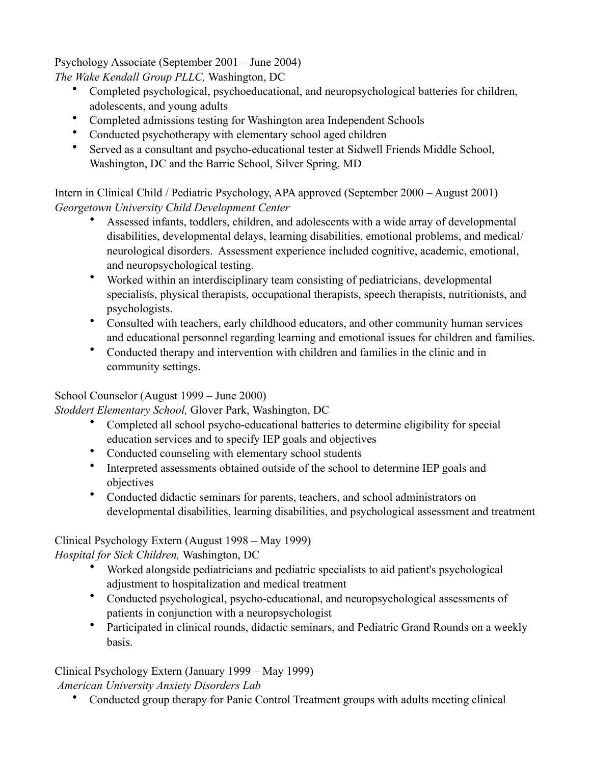Psychology Associate (September 2001 – June 2004)

*The Wake Kendall Group PLLC,* Washington, DC

- Completed psychological, psychoeducational, and neuropsychological batteries for children, adolescents, and young adults
- Completed admissions testing for Washington area Independent Schools
- Conducted psychotherapy with elementary school aged children
- Served as a consultant and psycho-educational tester at Sidwell Friends Middle School, Washington, DC and the Barrie School, Silver Spring, MD

Intern in Clinical Child / Pediatric Psychology, APA approved (September 2000 – August 2001) *Georgetown University Child Development Center*

- Assessed infants, toddlers, children, and adolescents with a wide array of developmental disabilities, developmental delays, learning disabilities, emotional problems, and medical/ neurological disorders. Assessment experience included cognitive, academic, emotional, and neuropsychological testing.
- Worked within an interdisciplinary team consisting of pediatricians, developmental specialists, physical therapists, occupational therapists, speech therapists, nutritionists, and psychologists.
- Consulted with teachers, early childhood educators, and other community human services and educational personnel regarding learning and emotional issues for children and families.
- Conducted therapy and intervention with children and families in the clinic and in community settings.

## School Counselor (August 1999 – June 2000)

*Stoddert Elementary School,* Glover Park, Washington, DC

- Completed all school psycho-educational batteries to determine eligibility for special education services and to specify IEP goals and objectives
- Conducted counseling with elementary school students
- Interpreted assessments obtained outside of the school to determine IEP goals and objectives
- Conducted didactic seminars for parents, teachers, and school administrators on developmental disabilities, learning disabilities, and psychological assessment and treatment

### Clinical Psychology Extern (August 1998 – May 1999)

*Hospital for Sick Children,* Washington, DC

- Worked alongside pediatricians and pediatric specialists to aid patient's psychological adjustment to hospitalization and medical treatment
- Conducted psychological, psycho-educational, and neuropsychological assessments of patients in conjunction with a neuropsychologist
- Participated in clinical rounds, didactic seminars, and Pediatric Grand Rounds on a weekly basis.

Clinical Psychology Extern (January 1999 – May 1999)

*American University Anxiety Disorders Lab*

• Conducted group therapy for Panic Control Treatment groups with adults meeting clinical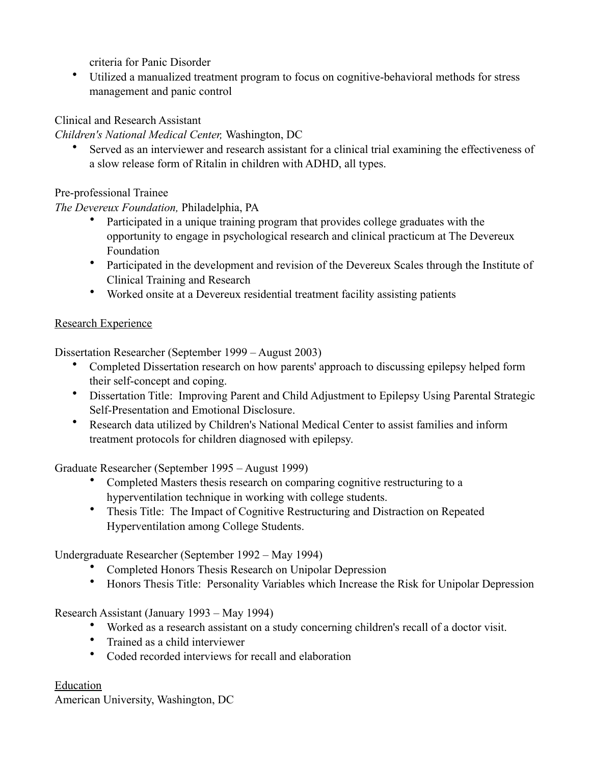criteria for Panic Disorder

• Utilized a manualized treatment program to focus on cognitive-behavioral methods for stress management and panic control

#### Clinical and Research Assistant

*Children's National Medical Center,* Washington, DC

Served as an interviewer and research assistant for a clinical trial examining the effectiveness of a slow release form of Ritalin in children with ADHD, all types.

Pre-professional Trainee

*The Devereux Foundation,* Philadelphia, PA

- Participated in a unique training program that provides college graduates with the opportunity to engage in psychological research and clinical practicum at The Devereux Foundation
- Participated in the development and revision of the Devereux Scales through the Institute of Clinical Training and Research
- Worked onsite at a Devereux residential treatment facility assisting patients

#### Research Experience

Dissertation Researcher (September 1999 – August 2003)

- Completed Dissertation research on how parents' approach to discussing epilepsy helped form their self-concept and coping.
- Dissertation Title: Improving Parent and Child Adjustment to Epilepsy Using Parental Strategic Self-Presentation and Emotional Disclosure.
- Research data utilized by Children's National Medical Center to assist families and inform treatment protocols for children diagnosed with epilepsy.

Graduate Researcher (September 1995 – August 1999)

- Completed Masters thesis research on comparing cognitive restructuring to a hyperventilation technique in working with college students.
- Thesis Title: The Impact of Cognitive Restructuring and Distraction on Repeated Hyperventilation among College Students.

Undergraduate Researcher (September 1992 – May 1994)

- Completed Honors Thesis Research on Unipolar Depression
- Honors Thesis Title: Personality Variables which Increase the Risk for Unipolar Depression

Research Assistant (January 1993 – May 1994)

- Worked as a research assistant on a study concerning children's recall of a doctor visit.
- Trained as a child interviewer
- Coded recorded interviews for recall and elaboration

### Education

American University, Washington, DC